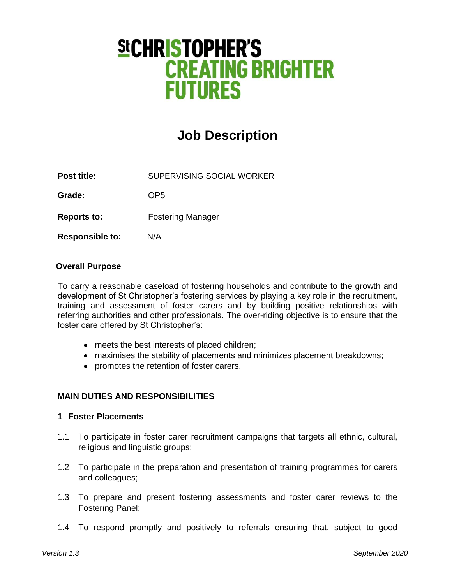# **SICHRISTOPHER'S CREATING BRIGHTER FUTURES**

# **Job Description**

**Post title:** SUPERVISING SOCIAL WORKER

Grade: OP5

**Reports to:** Fostering Manager

**Responsible to:** N/A

#### **Overall Purpose**

To carry a reasonable caseload of fostering households and contribute to the growth and development of St Christopher's fostering services by playing a key role in the recruitment, training and assessment of foster carers and by building positive relationships with referring authorities and other professionals. The over-riding objective is to ensure that the foster care offered by St Christopher's:

- meets the best interests of placed children;
- maximises the stability of placements and minimizes placement breakdowns;
- promotes the retention of foster carers.

#### **MAIN DUTIES AND RESPONSIBILITIES**

#### **1 Foster Placements**

- 1.1 To participate in foster carer recruitment campaigns that targets all ethnic, cultural, religious and linguistic groups;
- 1.2 To participate in the preparation and presentation of training programmes for carers and colleagues;
- 1.3 To prepare and present fostering assessments and foster carer reviews to the Fostering Panel;
- 1.4 To respond promptly and positively to referrals ensuring that, subject to good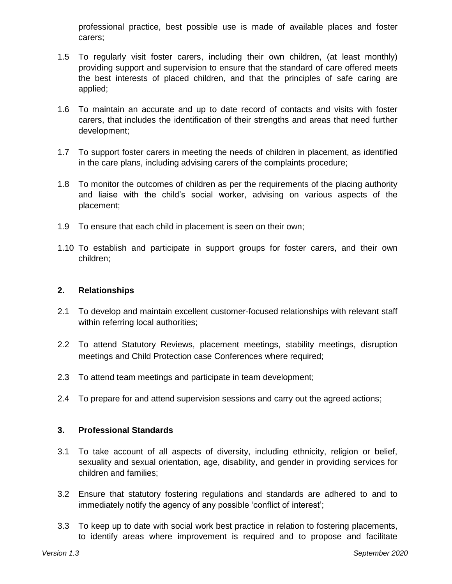professional practice, best possible use is made of available places and foster carers;

- 1.5 To regularly visit foster carers, including their own children, (at least monthly) providing support and supervision to ensure that the standard of care offered meets the best interests of placed children, and that the principles of safe caring are applied;
- 1.6 To maintain an accurate and up to date record of contacts and visits with foster carers, that includes the identification of their strengths and areas that need further development;
- 1.7 To support foster carers in meeting the needs of children in placement, as identified in the care plans, including advising carers of the complaints procedure;
- 1.8 To monitor the outcomes of children as per the requirements of the placing authority and liaise with the child's social worker, advising on various aspects of the placement;
- 1.9 To ensure that each child in placement is seen on their own;
- 1.10 To establish and participate in support groups for foster carers, and their own children;

#### **2. Relationships**

- 2.1 To develop and maintain excellent customer-focused relationships with relevant staff within referring local authorities;
- 2.2 To attend Statutory Reviews, placement meetings, stability meetings, disruption meetings and Child Protection case Conferences where required;
- 2.3 To attend team meetings and participate in team development;
- 2.4 To prepare for and attend supervision sessions and carry out the agreed actions;

#### **3. Professional Standards**

- 3.1 To take account of all aspects of diversity, including ethnicity, religion or belief, sexuality and sexual orientation, age, disability, and gender in providing services for children and families;
- 3.2 Ensure that statutory fostering regulations and standards are adhered to and to immediately notify the agency of any possible 'conflict of interest';
- 3.3 To keep up to date with social work best practice in relation to fostering placements, to identify areas where improvement is required and to propose and facilitate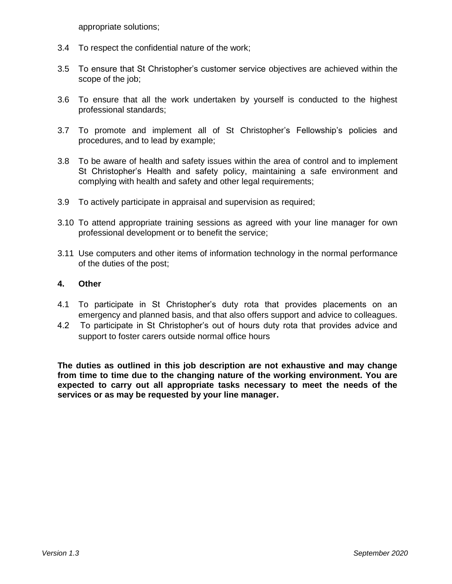appropriate solutions;

- 3.4 To respect the confidential nature of the work;
- 3.5 To ensure that St Christopher's customer service objectives are achieved within the scope of the job;
- 3.6 To ensure that all the work undertaken by yourself is conducted to the highest professional standards;
- 3.7 To promote and implement all of St Christopher's Fellowship's policies and procedures, and to lead by example;
- 3.8 To be aware of health and safety issues within the area of control and to implement St Christopher's Health and safety policy, maintaining a safe environment and complying with health and safety and other legal requirements;
- 3.9 To actively participate in appraisal and supervision as required;
- 3.10 To attend appropriate training sessions as agreed with your line manager for own professional development or to benefit the service;
- 3.11 Use computers and other items of information technology in the normal performance of the duties of the post;

#### **4. Other**

- 4.1 To participate in St Christopher's duty rota that provides placements on an emergency and planned basis, and that also offers support and advice to colleagues.
- 4.2 To participate in St Christopher's out of hours duty rota that provides advice and support to foster carers outside normal office hours

**The duties as outlined in this job description are not exhaustive and may change from time to time due to the changing nature of the working environment. You are expected to carry out all appropriate tasks necessary to meet the needs of the services or as may be requested by your line manager.**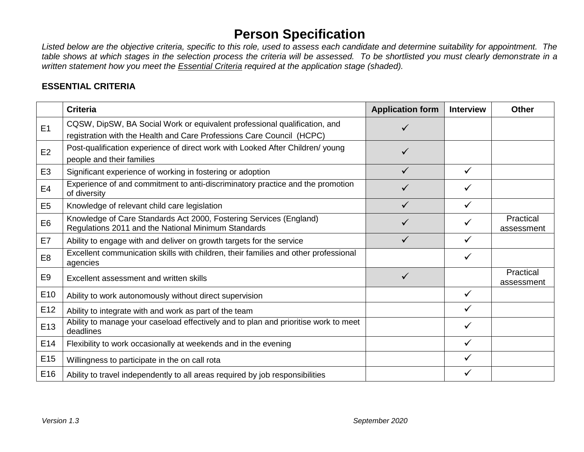## **Person Specification**

*Listed below are the objective criteria, specific to this role, used to assess each candidate and determine suitability for appointment. The table shows at which stages in the selection process the criteria will be assessed. To be shortlisted you must clearly demonstrate in a written statement how you meet the Essential Criteria required at the application stage (shaded).*

### **ESSENTIAL CRITERIA**

|                 | <b>Criteria</b>                                                                                                                                    | <b>Application form</b> | <b>Interview</b> | <b>Other</b>            |
|-----------------|----------------------------------------------------------------------------------------------------------------------------------------------------|-------------------------|------------------|-------------------------|
| E <sub>1</sub>  | CQSW, DipSW, BA Social Work or equivalent professional qualification, and<br>registration with the Health and Care Professions Care Council (HCPC) |                         |                  |                         |
| E2              | Post-qualification experience of direct work with Looked After Children/ young<br>people and their families                                        |                         |                  |                         |
| E <sub>3</sub>  | Significant experience of working in fostering or adoption                                                                                         |                         | ✓                |                         |
| E4              | Experience of and commitment to anti-discriminatory practice and the promotion<br>of diversity                                                     |                         |                  |                         |
| E <sub>5</sub>  | Knowledge of relevant child care legislation                                                                                                       |                         | ✓                |                         |
| E <sub>6</sub>  | Knowledge of Care Standards Act 2000, Fostering Services (England)<br>Regulations 2011 and the National Minimum Standards                          |                         | ✓                | Practical<br>assessment |
| E7              | Ability to engage with and deliver on growth targets for the service                                                                               |                         |                  |                         |
| E <sub>8</sub>  | Excellent communication skills with children, their families and other professional<br>agencies                                                    |                         | ✓                |                         |
| E <sub>9</sub>  | Excellent assessment and written skills                                                                                                            | ✓                       |                  | Practical<br>assessment |
| E <sub>10</sub> | Ability to work autonomously without direct supervision                                                                                            |                         |                  |                         |
| E <sub>12</sub> | Ability to integrate with and work as part of the team                                                                                             |                         |                  |                         |
| E <sub>13</sub> | Ability to manage your caseload effectively and to plan and prioritise work to meet<br>deadlines                                                   |                         | ✓                |                         |
| E <sub>14</sub> | Flexibility to work occasionally at weekends and in the evening                                                                                    |                         | ✓                |                         |
| E <sub>15</sub> | Willingness to participate in the on call rota                                                                                                     |                         | ✓                |                         |
| E16             | Ability to travel independently to all areas required by job responsibilities                                                                      |                         |                  |                         |